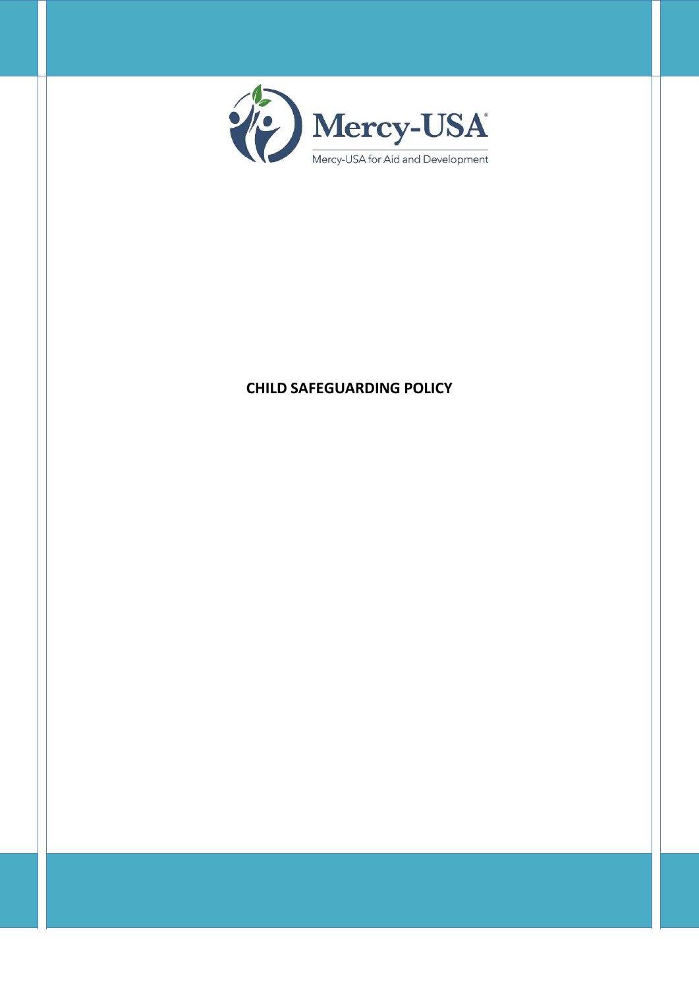

# **CHILD SAFEGUARDING POLICY**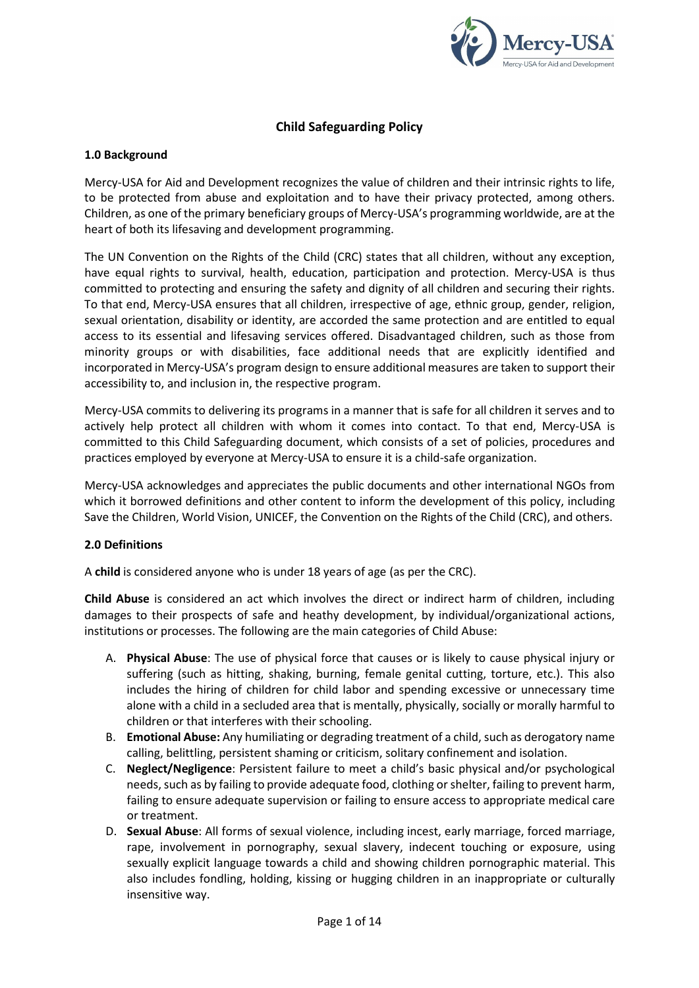

# **Child Safeguarding Policy**

### **1.0 Background**

Mercy-USA for Aid and Development recognizes the value of children and their intrinsic rights to life, to be protected from abuse and exploitation and to have their privacy protected, among others. Children, as one of the primary beneficiary groups of Mercy-USA's programming worldwide, are at the heart of both its lifesaving and development programming.

The UN Convention on the Rights of the Child (CRC) states that all children, without any exception, have equal rights to survival, health, education, participation and protection. Mercy-USA is thus committed to protecting and ensuring the safety and dignity of all children and securing their rights. To that end, Mercy-USA ensures that all children, irrespective of age, ethnic group, gender, religion, sexual orientation, disability or identity, are accorded the same protection and are entitled to equal access to its essential and lifesaving services offered. Disadvantaged children, such as those from minority groups or with disabilities, face additional needs that are explicitly identified and incorporated in Mercy-USA's program design to ensure additional measures are taken to support their accessibility to, and inclusion in, the respective program.

Mercy-USA commits to delivering its programs in a manner that is safe for all children it serves and to actively help protect all children with whom it comes into contact. To that end, Mercy-USA is committed to this Child Safeguarding document, which consists of a set of policies, procedures and practices employed by everyone at Mercy-USA to ensure it is a child-safe organization.

Mercy-USA acknowledges and appreciates the public documents and other international NGOs from which it borrowed definitions and other content to inform the development of this policy, including Save the Children, World Vision, UNICEF, the Convention on the Rights of the Child (CRC), and others.

#### **2.0 Definitions**

A **child** is considered anyone who is under 18 years of age (as per the CRC).

**Child Abuse** is considered an act which involves the direct or indirect harm of children, including damages to their prospects of safe and heathy development, by individual/organizational actions, institutions or processes. The following are the main categories of Child Abuse:

- A. **Physical Abuse**: The use of physical force that causes or is likely to cause physical injury or suffering (such as hitting, shaking, burning, female genital cutting, torture, etc.). This also includes the hiring of children for child labor and spending excessive or unnecessary time alone with a child in a secluded area that is mentally, physically, socially or morally harmful to children or that interferes with their schooling.
- B. **Emotional Abuse:** Any humiliating or degrading treatment of a child, such as derogatory name calling, belittling, persistent shaming or criticism, solitary confinement and isolation.
- C. **Neglect/Negligence**: Persistent failure to meet a child's basic physical and/or psychological needs, such as by failing to provide adequate food, clothing or shelter, failing to prevent harm, failing to ensure adequate supervision or failing to ensure access to appropriate medical care or treatment.
- D. **Sexual Abuse**: All forms of sexual violence, including incest, early marriage, forced marriage, rape, involvement in pornography, sexual slavery, indecent touching or exposure, using sexually explicit language towards a child and showing children pornographic material. This also includes fondling, holding, kissing or hugging children in an inappropriate or culturally insensitive way.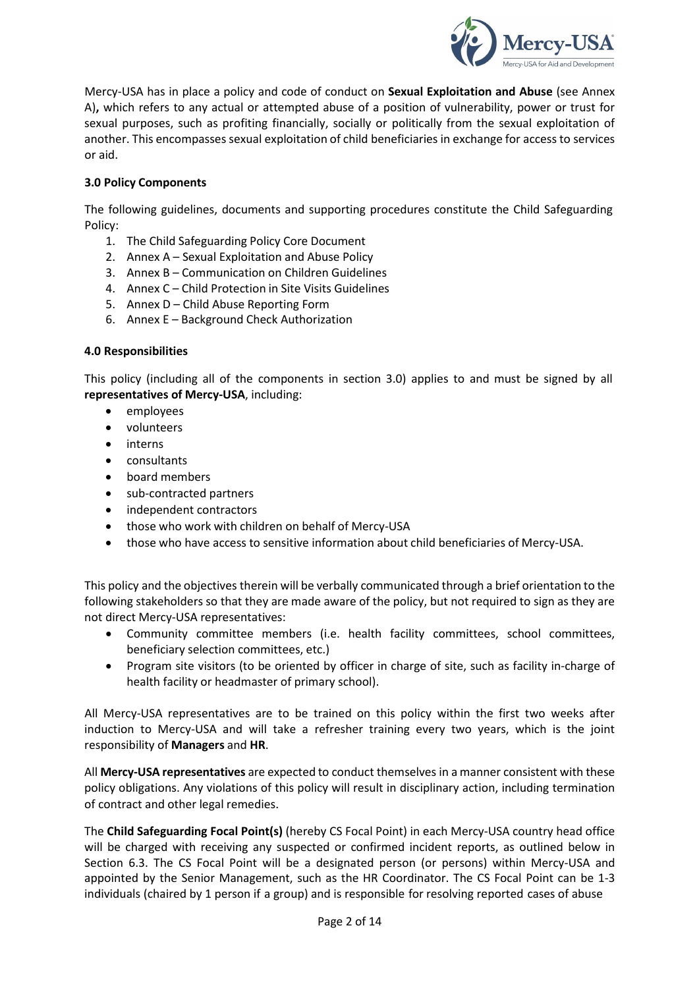

Mercy-USA has in place a policy and code of conduct on **Sexual Exploitation and Abuse** (see Annex A)**,** which refers to any actual or attempted abuse of a position of vulnerability, power or trust for sexual purposes, such as profiting financially, socially or politically from the sexual exploitation of another. This encompasses sexual exploitation of child beneficiaries in exchange for access to services or aid.

# **3.0 Policy Components**

The following guidelines, documents and supporting procedures constitute the Child Safeguarding Policy:

- 1. The Child Safeguarding Policy Core Document
- 2. Annex A Sexual Exploitation and Abuse Policy
- 3. Annex B Communication on Children Guidelines
- 4. Annex C Child Protection in Site Visits Guidelines
- 5. Annex D Child Abuse Reporting Form
- 6. Annex E Background Check Authorization

# **4.0 Responsibilities**

This policy (including all of the components in section 3.0) applies to and must be signed by all **representatives of Mercy-USA**, including:

- employees
- volunteers
- interns
- consultants
- board members
- sub-contracted partners
- independent contractors
- those who work with children on behalf of Mercy-USA
- those who have access to sensitive information about child beneficiaries of Mercy-USA.

This policy and the objectives therein will be verbally communicated through a brief orientation to the following stakeholders so that they are made aware of the policy, but not required to sign as they are not direct Mercy-USA representatives:

- Community committee members (i.e. health facility committees, school committees, beneficiary selection committees, etc.)
- Program site visitors (to be oriented by officer in charge of site, such as facility in-charge of health facility or headmaster of primary school).

All Mercy-USA representatives are to be trained on this policy within the first two weeks after induction to Mercy-USA and will take a refresher training every two years, which is the joint responsibility of **Managers** and **HR**.

All **Mercy-USA representatives** are expected to conduct themselves in a manner consistent with these policy obligations. Any violations of this policy will result in disciplinary action, including termination of contract and other legal remedies.

The **Child Safeguarding Focal Point(s)** (hereby CS Focal Point) in each Mercy-USA country head office will be charged with receiving any suspected or confirmed incident reports, as outlined below in Section 6.3. The CS Focal Point will be a designated person (or persons) within Mercy-USA and appointed by the Senior Management, such as the HR Coordinator. The CS Focal Point can be 1-3 individuals (chaired by 1 person if a group) and is responsible for resolving reported cases of abuse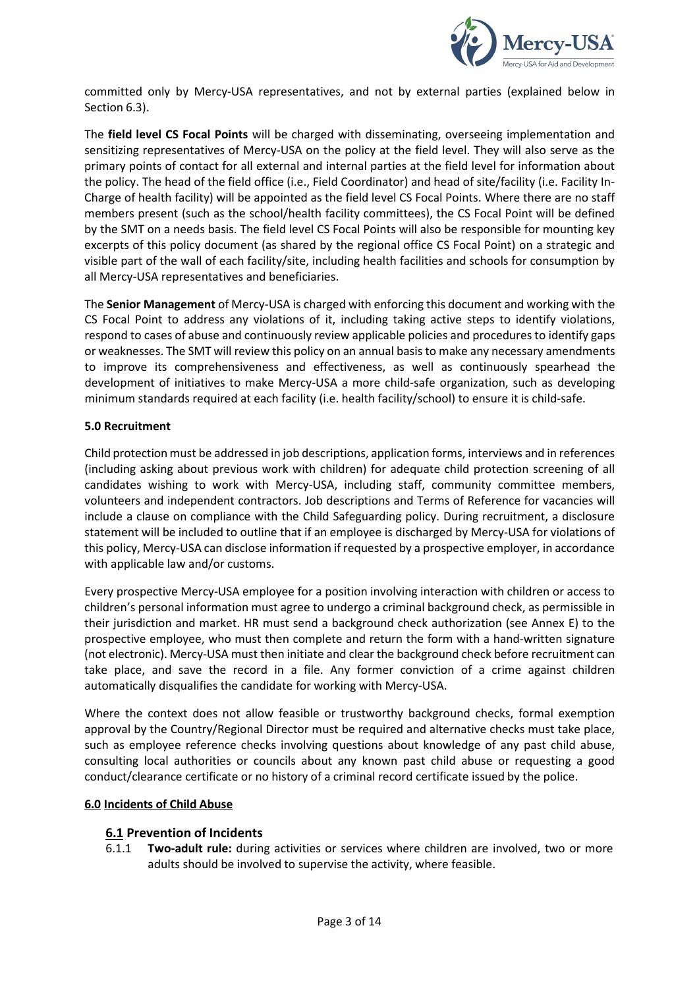

committed only by Mercy-USA representatives, and not by external parties (explained below in Section 6.3).

The **field level CS Focal Points** will be charged with disseminating, overseeing implementation and sensitizing representatives of Mercy-USA on the policy at the field level. They will also serve as the primary points of contact for all external and internal parties at the field level for information about the policy. The head of the field office (i.e., Field Coordinator) and head of site/facility (i.e. Facility In-Charge of health facility) will be appointed as the field level CS Focal Points. Where there are no staff members present (such as the school/health facility committees), the CS Focal Point will be defined by the SMT on a needs basis. The field level CS Focal Points will also be responsible for mounting key excerpts of this policy document (as shared by the regional office CS Focal Point) on a strategic and visible part of the wall of each facility/site, including health facilities and schools for consumption by all Mercy-USA representatives and beneficiaries.

The **Senior Management** of Mercy-USA is charged with enforcing this document and working with the CS Focal Point to address any violations of it, including taking active steps to identify violations, respond to cases of abuse and continuously review applicable policies and procedures to identify gaps or weaknesses. The SMT will review this policy on an annual basis to make any necessary amendments to improve its comprehensiveness and effectiveness, as well as continuously spearhead the development of initiatives to make Mercy-USA a more child-safe organization, such as developing minimum standards required at each facility (i.e. health facility/school) to ensure it is child-safe.

### **5.0 Recruitment**

Child protection must be addressed in job descriptions, application forms, interviews and in references (including asking about previous work with children) for adequate child protection screening of all candidates wishing to work with Mercy-USA, including staff, community committee members, volunteers and independent contractors. Job descriptions and Terms of Reference for vacancies will include a clause on compliance with the Child Safeguarding policy. During recruitment, a disclosure statement will be included to outline that if an employee is discharged by Mercy-USA for violations of this policy, Mercy-USA can disclose information if requested by a prospective employer, in accordance with applicable law and/or customs.

Every prospective Mercy-USA employee for a position involving interaction with children or access to children's personal information must agree to undergo a criminal background check, as permissible in their jurisdiction and market. HR must send a background check authorization (see Annex E) to the prospective employee, who must then complete and return the form with a hand-written signature (not electronic). Mercy-USA must then initiate and clear the background check before recruitment can take place, and save the record in a file. Any former conviction of a crime against children automatically disqualifies the candidate for working with Mercy-USA.

Where the context does not allow feasible or trustworthy background checks, formal exemption approval by the Country/Regional Director must be required and alternative checks must take place, such as employee reference checks involving questions about knowledge of any past child abuse, consulting local authorities or councils about any known past child abuse or requesting a good conduct/clearance certificate or no history of a criminal record certificate issued by the police.

#### **6.0 Incidents of Child Abuse**

# **6.1 Prevention of Incidents**

6.1.1 **Two-adult rule:** during activities or services where children are involved, two or more adults should be involved to supervise the activity, where feasible.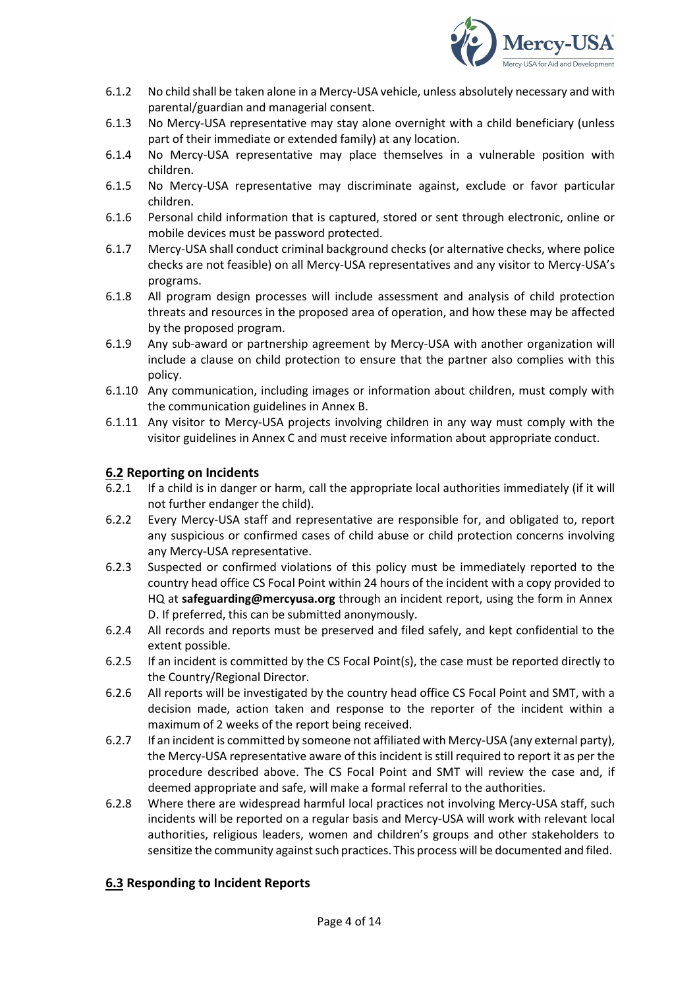

- 6.1.2 No child shall be taken alone in a Mercy-USA vehicle, unless absolutely necessary and with parental/guardian and managerial consent.
- 6.1.3 No Mercy-USA representative may stay alone overnight with a child beneficiary (unless part of their immediate or extended family) at any location.
- 6.1.4 No Mercy-USA representative may place themselves in a vulnerable position with children.
- 6.1.5 No Mercy-USA representative may discriminate against, exclude or favor particular children.
- 6.1.6 Personal child information that is captured, stored or sent through electronic, online or mobile devices must be password protected.
- 6.1.7 Mercy-USA shall conduct criminal background checks (or alternative checks, where police checks are not feasible) on all Mercy-USA representatives and any visitor to Mercy-USA's programs.
- 6.1.8 All program design processes will include assessment and analysis of child protection threats and resources in the proposed area of operation, and how these may be affected by the proposed program.
- 6.1.9 Any sub-award or partnership agreement by Mercy-USA with another organization will include a clause on child protection to ensure that the partner also complies with this policy.
- 6.1.10 Any communication, including images or information about children, must comply with the communication guidelines in Annex B.
- 6.1.11 Any visitor to Mercy-USA projects involving children in any way must comply with the visitor guidelines in Annex C and must receive information about appropriate conduct.

# **6.2 Reporting on Incidents**

- 6.2.1 If a child is in danger or harm, call the appropriate local authorities immediately (if it will not further endanger the child).
- 6.2.2 Every Mercy-USA staff and representative are responsible for, and obligated to, report any suspicious or confirmed cases of child abuse or child protection concerns involving any Mercy-USA representative.
- 6.2.3 Suspected or confirmed violations of this policy must be immediately reported to the country head office CS Focal Point within 24 hours of the incident with a copy provided to HQ at **[safeguarding@mercyusa.org](mailto:safeguarding@mercyusa.org)** through an incident report, using the form in Annex D. If preferred, this can be submitted anonymously.
- 6.2.4 All records and reports must be preserved and filed safely, and kept confidential to the extent possible.
- 6.2.5 If an incident is committed by the CS Focal Point(s), the case must be reported directly to the Country/Regional Director.
- 6.2.6 All reports will be investigated by the country head office CS Focal Point and SMT, with a decision made, action taken and response to the reporter of the incident within a maximum of 2 weeks of the report being received.
- 6.2.7 If an incident is committed by someone not affiliated with Mercy-USA (any external party), the Mercy-USA representative aware of this incident isstill required to report it as per the procedure described above. The CS Focal Point and SMT will review the case and, if deemed appropriate and safe, will make a formal referral to the authorities.
- 6.2.8 Where there are widespread harmful local practices not involving Mercy-USA staff, such incidents will be reported on a regular basis and Mercy-USA will work with relevant local authorities, religious leaders, women and children's groups and other stakeholders to sensitize the community against such practices. This process will be documented and filed.

# **6.3 Responding to Incident Reports**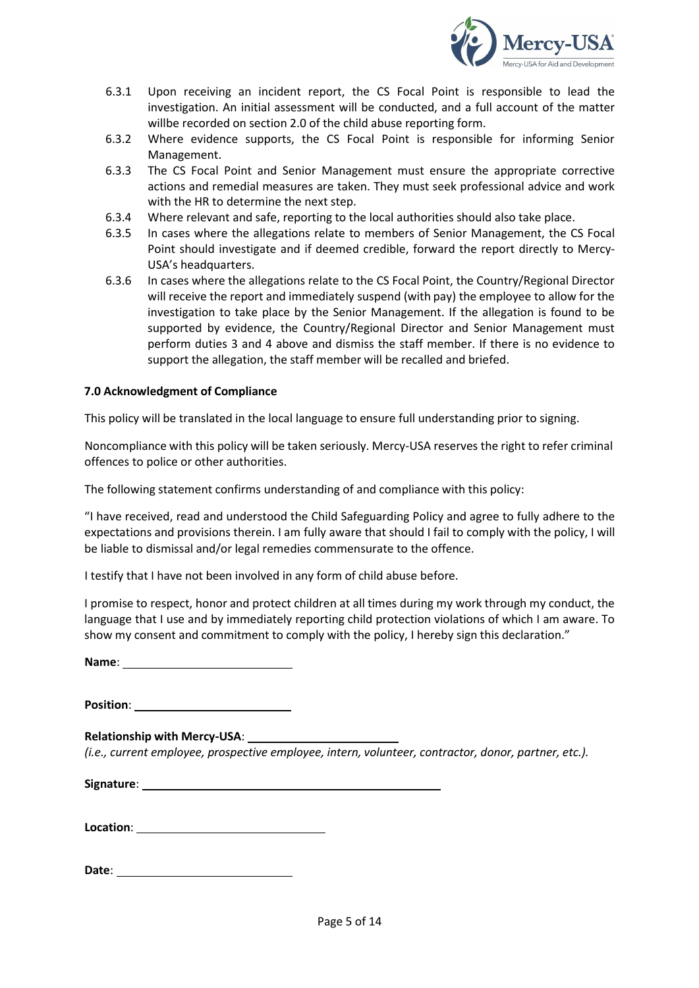

- 6.3.1 Upon receiving an incident report, the CS Focal Point is responsible to lead the investigation. An initial assessment will be conducted, and a full account of the matter willbe recorded on section 2.0 of the child abuse reporting form.
- 6.3.2 Where evidence supports, the CS Focal Point is responsible for informing Senior Management.
- 6.3.3 The CS Focal Point and Senior Management must ensure the appropriate corrective actions and remedial measures are taken. They must seek professional advice and work with the HR to determine the next step.
- 6.3.4 Where relevant and safe, reporting to the local authorities should also take place.
- 6.3.5 In cases where the allegations relate to members of Senior Management, the CS Focal Point should investigate and if deemed credible, forward the report directly to Mercy-USA's headquarters.
- 6.3.6 In cases where the allegations relate to the CS Focal Point, the Country/Regional Director will receive the report and immediately suspend (with pay) the employee to allow for the investigation to take place by the Senior Management. If the allegation is found to be supported by evidence, the Country/Regional Director and Senior Management must perform duties 3 and 4 above and dismiss the staff member. If there is no evidence to support the allegation, the staff member will be recalled and briefed.

### **7.0 Acknowledgment of Compliance**

This policy will be translated in the local language to ensure full understanding prior to signing.

Noncompliance with this policy will be taken seriously. Mercy-USA reserves the right to refer criminal offences to police or other authorities.

The following statement confirms understanding of and compliance with this policy:

"I have received, read and understood the Child Safeguarding Policy and agree to fully adhere to the expectations and provisions therein. I am fully aware that should I fail to comply with the policy, I will be liable to dismissal and/or legal remedies commensurate to the offence.

I testify that I have not been involved in any form of child abuse before.

I promise to respect, honor and protect children at all times during my work through my conduct, the language that I use and by immediately reporting child protection violations of which I am aware. To show my consent and commitment to comply with the policy, I hereby sign this declaration."

**Name**:

**Position**:

**Relationship with Mercy-USA**:

*(i.e., current employee, prospective employee, intern, volunteer, contractor, donor, partner, etc.).*

**Signature**:

**Location**:

**Date**: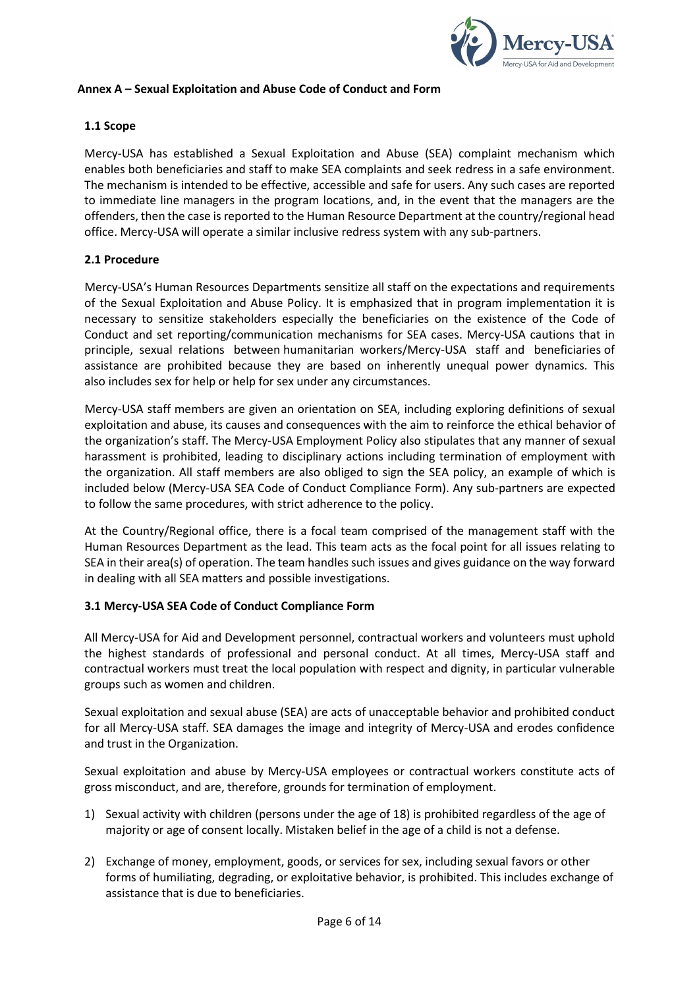

### **Annex A – Sexual Exploitation and Abuse Code of Conduct and Form**

### **1.1 Scope**

Mercy-USA has established a Sexual Exploitation and Abuse (SEA) complaint mechanism which enables both beneficiaries and staff to make SEA complaints and seek redress in a safe environment. The mechanism is intended to be effective, accessible and safe for users. Any such cases are reported to immediate line managers in the program locations, and, in the event that the managers are the offenders, then the case is reported to the Human Resource Department at the country/regional head office. Mercy-USA will operate a similar inclusive redress system with any sub-partners.

### **2.1 Procedure**

Mercy-USA's Human Resources Departments sensitize all staff on the expectations and requirements of the Sexual Exploitation and Abuse Policy. It is emphasized that in program implementation it is necessary to sensitize stakeholders especially the beneficiaries on the existence of the Code of Conduct and set reporting/communication mechanisms for SEA cases. Mercy-USA cautions that in principle, sexual relations between humanitarian workers/Mercy-USA staff and beneficiaries of assistance are prohibited because they are based on inherently unequal power dynamics. This also includes sex for help or help for sex under any circumstances.

Mercy-USA staff members are given an orientation on SEA, including exploring definitions of sexual exploitation and abuse, its causes and consequences with the aim to reinforce the ethical behavior of the organization's staff. The Mercy-USA Employment Policy also stipulates that any manner of sexual harassment is prohibited, leading to disciplinary actions including termination of employment with the organization. All staff members are also obliged to sign the SEA policy, an example of which is included below (Mercy-USA SEA Code of Conduct Compliance Form). Any sub-partners are expected to follow the same procedures, with strict adherence to the policy.

At the Country/Regional office, there is a focal team comprised of the management staff with the Human Resources Department as the lead. This team acts as the focal point for all issues relating to SEA in their area(s) of operation. The team handles such issues and gives guidance on the way forward in dealing with all SEA matters and possible investigations.

#### **3.1 Mercy-USA SEA Code of Conduct Compliance Form**

All Mercy-USA for Aid and Development personnel, contractual workers and volunteers must uphold the highest standards of professional and personal conduct. At all times, Mercy-USA staff and contractual workers must treat the local population with respect and dignity, in particular vulnerable groups such as women and children.

Sexual exploitation and sexual abuse (SEA) are acts of unacceptable behavior and prohibited conduct for all Mercy-USA staff. SEA damages the image and integrity of Mercy-USA and erodes confidence and trust in the Organization.

Sexual exploitation and abuse by Mercy-USA employees or contractual workers constitute acts of gross misconduct, and are, therefore, grounds for termination of employment.

- 1) Sexual activity with children (persons under the age of 18) is prohibited regardless of the age of majority or age of consent locally. Mistaken belief in the age of a child is not a defense.
- 2) Exchange of money, employment, goods, or services for sex, including sexual favors or other forms of humiliating, degrading, or exploitative behavior, is prohibited. This includes exchange of assistance that is due to beneficiaries.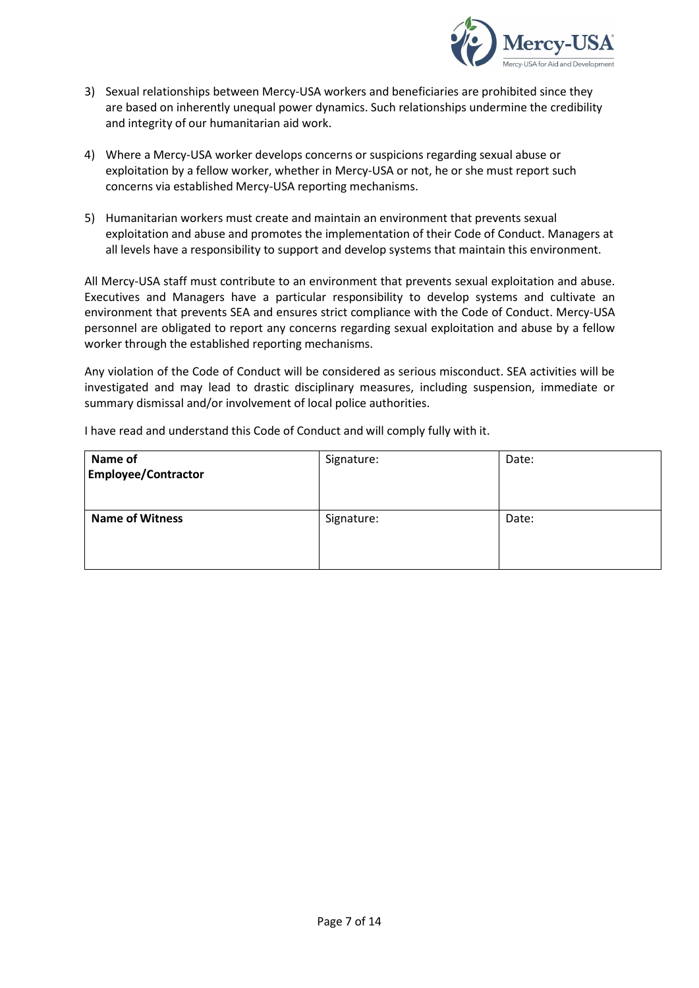

- 3) Sexual relationships between Mercy-USA workers and beneficiaries are prohibited since they are based on inherently unequal power dynamics. Such relationships undermine the credibility and integrity of our humanitarian aid work.
- 4) Where a Mercy-USA worker develops concerns or suspicions regarding sexual abuse or exploitation by a fellow worker, whether in Mercy-USA or not, he or she must report such concerns via established Mercy-USA reporting mechanisms.
- 5) Humanitarian workers must create and maintain an environment that prevents sexual exploitation and abuse and promotes the implementation of their Code of Conduct. Managers at all levels have a responsibility to support and develop systems that maintain this environment.

All Mercy-USA staff must contribute to an environment that prevents sexual exploitation and abuse. Executives and Managers have a particular responsibility to develop systems and cultivate an environment that prevents SEA and ensures strict compliance with the Code of Conduct. Mercy-USA personnel are obligated to report any concerns regarding sexual exploitation and abuse by a fellow worker through the established reporting mechanisms.

Any violation of the Code of Conduct will be considered as serious misconduct. SEA activities will be investigated and may lead to drastic disciplinary measures, including suspension, immediate or summary dismissal and/or involvement of local police authorities.

| Name of<br><b>Employee/Contractor</b> | Signature: | Date: |
|---------------------------------------|------------|-------|
| <b>Name of Witness</b>                | Signature: | Date: |

I have read and understand this Code of Conduct and will comply fully with it.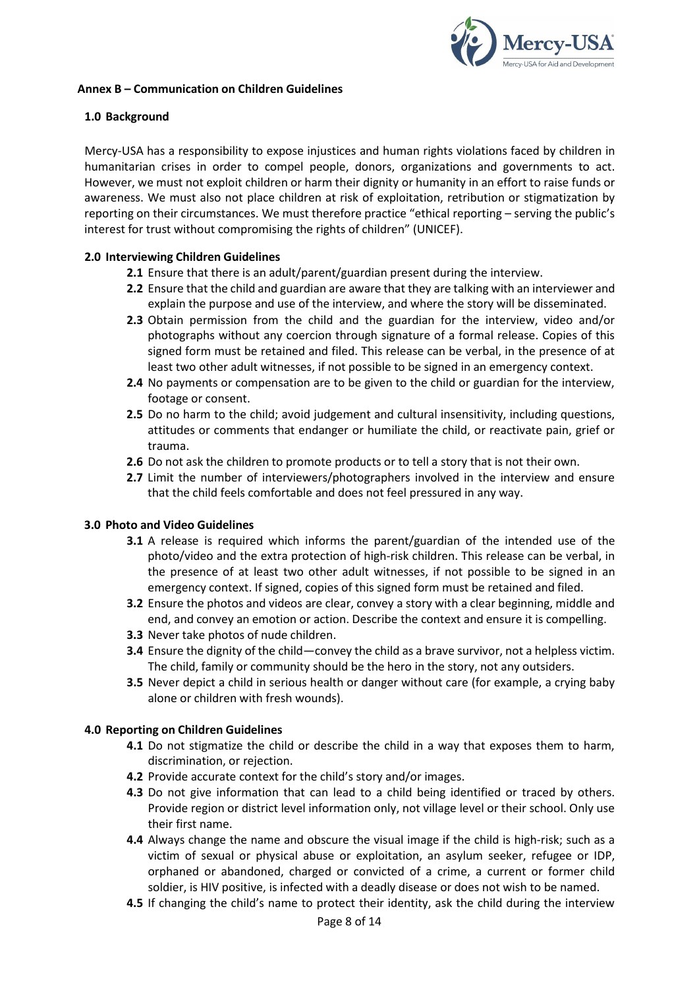

### **Annex B – Communication on Children Guidelines**

### **1.0 Background**

Mercy-USA has a responsibility to expose injustices and human rights violations faced by children in humanitarian crises in order to compel people, donors, organizations and governments to act. However, we must not exploit children or harm their dignity or humanity in an effort to raise funds or awareness. We must also not place children at risk of exploitation, retribution or stigmatization by reporting on their circumstances. We must therefore practice "ethical reporting – serving the public's interest for trust without compromising the rights of children" (UNICEF).

### **2.0 Interviewing Children Guidelines**

- **2.1** Ensure that there is an adult/parent/guardian present during the interview.
- **2.2** Ensure that the child and guardian are aware that they are talking with an interviewer and explain the purpose and use of the interview, and where the story will be disseminated.
- **2.3** Obtain permission from the child and the guardian for the interview, video and/or photographs without any coercion through signature of a formal release. Copies of this signed form must be retained and filed. This release can be verbal, in the presence of at least two other adult witnesses, if not possible to be signed in an emergency context.
- **2.4** No payments or compensation are to be given to the child or guardian for the interview, footage or consent.
- **2.5** Do no harm to the child; avoid judgement and cultural insensitivity, including questions, attitudes or comments that endanger or humiliate the child, or reactivate pain, grief or trauma.
- **2.6** Do not ask the children to promote products or to tell a story that is not their own.
- **2.7** Limit the number of interviewers/photographers involved in the interview and ensure that the child feels comfortable and does not feel pressured in any way.

#### **3.0 Photo and Video Guidelines**

- **3.1** A release is required which informs the parent/guardian of the intended use of the photo/video and the extra protection of high-risk children. This release can be verbal, in the presence of at least two other adult witnesses, if not possible to be signed in an emergency context. If signed, copies of this signed form must be retained and filed.
- **3.2** Ensure the photos and videos are clear, convey a story with a clear beginning, middle and end, and convey an emotion or action. Describe the context and ensure it is compelling.
- **3.3** Never take photos of nude children.
- **3.4** Ensure the dignity of the child—convey the child as a brave survivor, not a helpless victim. The child, family or community should be the hero in the story, not any outsiders.
- **3.5** Never depict a child in serious health or danger without care (for example, a crying baby alone or children with fresh wounds).

#### **4.0 Reporting on Children Guidelines**

- **4.1** Do not stigmatize the child or describe the child in a way that exposes them to harm, discrimination, or rejection.
- **4.2** Provide accurate context for the child's story and/or images.
- **4.3** Do not give information that can lead to a child being identified or traced by others. Provide region or district level information only, not village level or their school. Only use their first name.
- **4.4** Always change the name and obscure the visual image if the child is high-risk; such as a victim of sexual or physical abuse or exploitation, an asylum seeker, refugee or IDP, orphaned or abandoned, charged or convicted of a crime, a current or former child soldier, is HIV positive, is infected with a deadly disease or does not wish to be named.
- **4.5** If changing the child's name to protect their identity, ask the child during the interview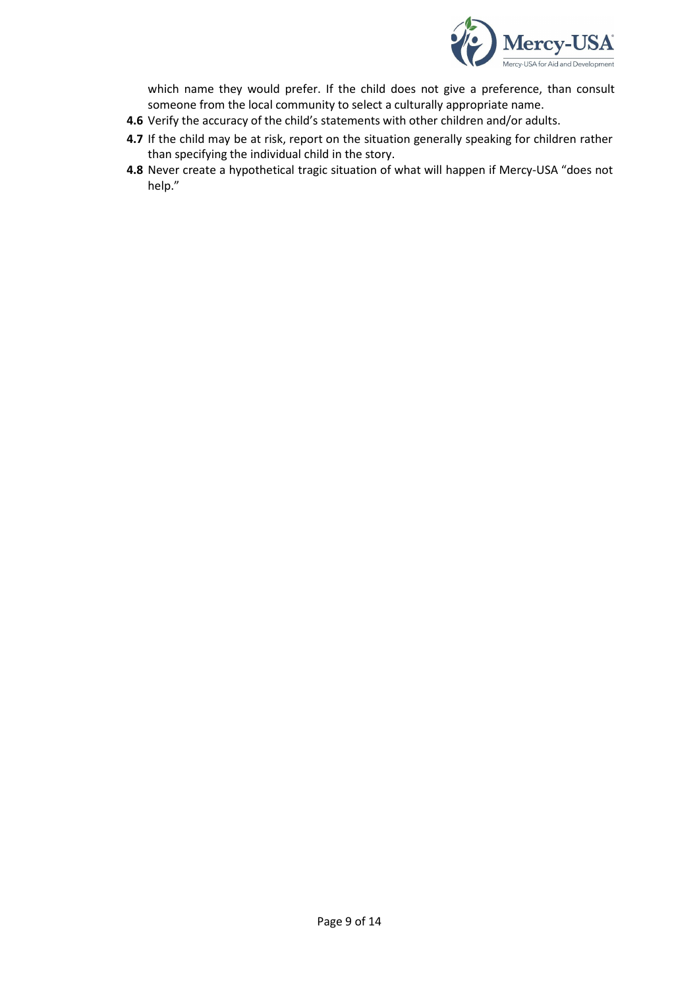

which name they would prefer. If the child does not give a preference, than consult someone from the local community to select a culturally appropriate name.

- **4.6** Verify the accuracy of the child's statements with other children and/or adults.
- **4.7** If the child may be at risk, report on the situation generally speaking for children rather than specifying the individual child in the story.
- **4.8** Never create a hypothetical tragic situation of what will happen if Mercy-USA "does not help."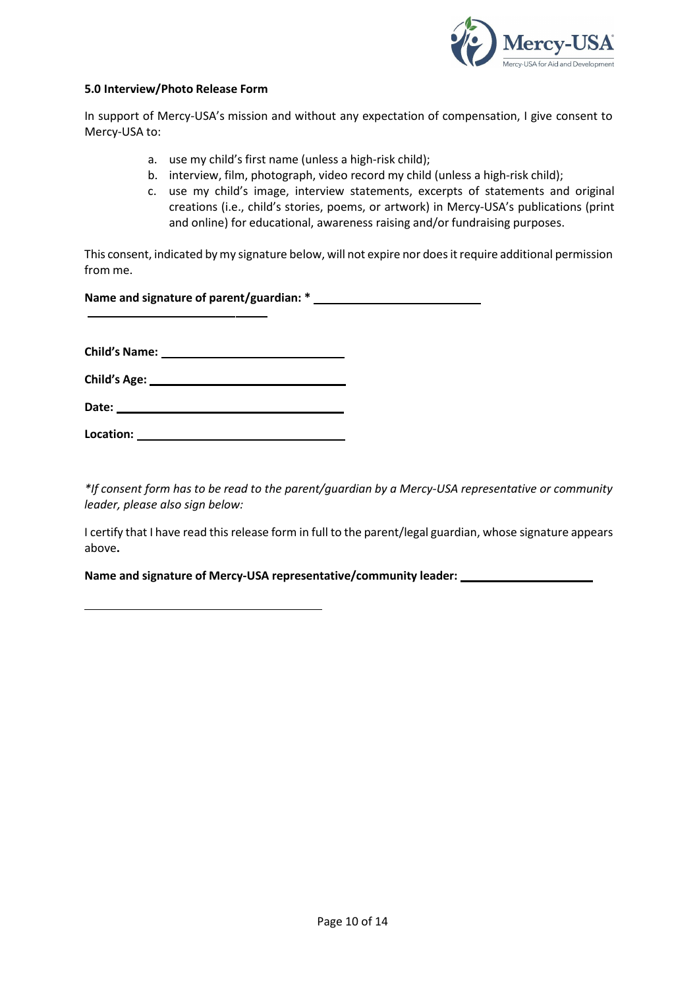

#### **5.0 Interview/Photo Release Form**

In support of Mercy-USA's mission and without any expectation of compensation, I give consent to Mercy-USA to:

- a. use my child's first name (unless a high-risk child);
- b. interview, film, photograph, video record my child (unless a high-risk child);
- c. use my child's image, interview statements, excerpts of statements and original creations (i.e., child's stories, poems, or artwork) in Mercy-USA's publications (print and online) for educational, awareness raising and/or fundraising purposes.

This consent, indicated by my signature below, will not expire nor does it require additional permission from me.

**Name and signature of parent/guardian: \***

**Child's Name:** 

| <b>Child's Age:</b> |  |
|---------------------|--|
|                     |  |
|                     |  |

**Date:** 

**Location:** 

*\*If consent form has to be read to the parent/guardian by a Mercy-USA representative or community leader, please also sign below:*

I certify that I have read this release form in full to the parent/legal guardian, whose signature appears above**.** 

**Name and signature of Mercy-USA representative/community leader:**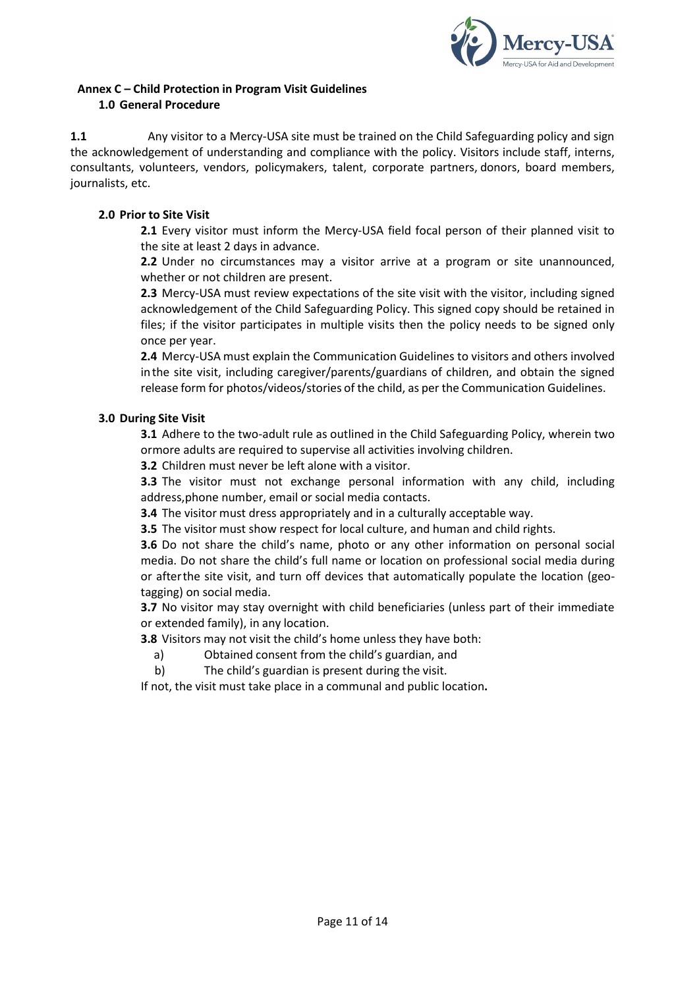

# **Annex C – Child Protection in Program Visit Guidelines 1.0 General Procedure**

**1.1** Any visitor to a Mercy-USA site must be trained on the Child Safeguarding policy and sign the acknowledgement of understanding and compliance with the policy. Visitors include staff, interns, consultants, volunteers, vendors, policymakers, talent, corporate partners, donors, board members, journalists, etc.

# **2.0 Prior to Site Visit**

**2.1** Every visitor must inform the Mercy-USA field focal person of their planned visit to the site at least 2 days in advance.

**2.2** Under no circumstances may a visitor arrive at a program or site unannounced, whether or not children are present.

**2.3** Mercy-USA must review expectations of the site visit with the visitor, including signed acknowledgement of the Child Safeguarding Policy. This signed copy should be retained in files; if the visitor participates in multiple visits then the policy needs to be signed only once per year.

**2.4** Mercy-USA must explain the Communication Guidelines to visitors and others involved inthe site visit, including caregiver/parents/guardians of children, and obtain the signed release form for photos/videos/stories of the child, as per the Communication Guidelines.

# **3.0 During Site Visit**

**3.1** Adhere to the two-adult rule as outlined in the Child Safeguarding Policy, wherein two ormore adults are required to supervise all activities involving children.

**3.2** Children must never be left alone with a visitor.

**3.3** The visitor must not exchange personal information with any child, including address,phone number, email or social media contacts.

**3.4** The visitor must dress appropriately and in a culturally acceptable way.

**3.5** The visitor must show respect for local culture, and human and child rights.

**3.6** Do not share the child's name, photo or any other information on personal social media. Do not share the child's full name or location on professional social media during or afterthe site visit, and turn off devices that automatically populate the location (geotagging) on social media.

**3.7** No visitor may stay overnight with child beneficiaries (unless part of their immediate or extended family), in any location.

**3.8** Visitors may not visit the child's home unless they have both:

- a) Obtained consent from the child's guardian, and
- b) The child's guardian is present during the visit.

If not, the visit must take place in a communal and public location**.**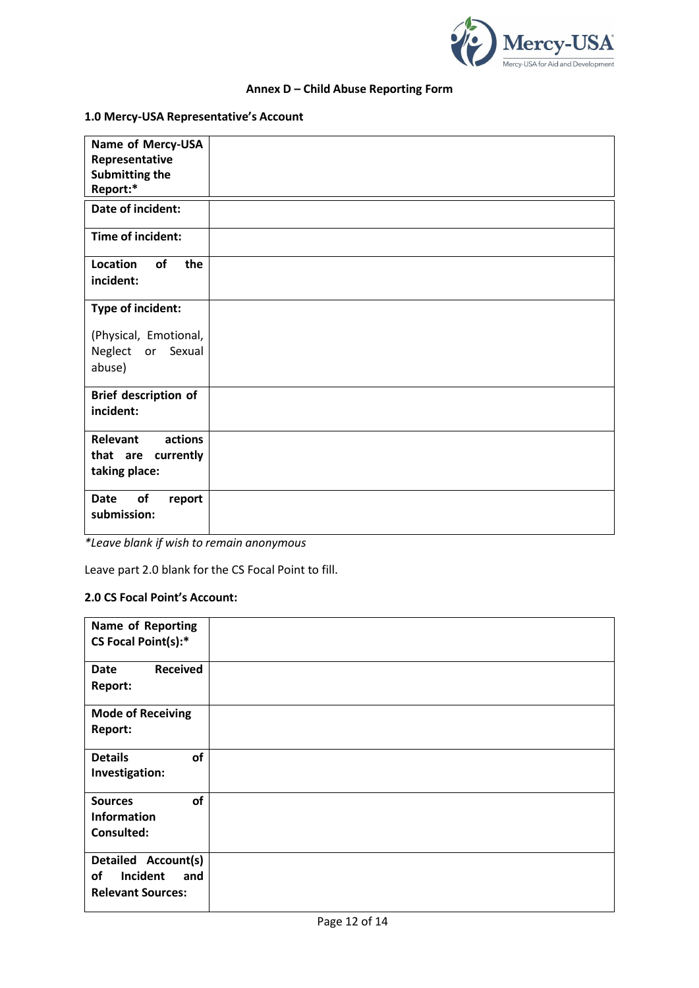

# **Annex D – Child Abuse Reporting Form**

# **1.0 Mercy-USA Representative's Account**

| Name of Mercy-USA<br>Representative<br>Submitting the<br>Report:* |  |
|-------------------------------------------------------------------|--|
| Date of incident:                                                 |  |
| Time of incident:                                                 |  |
| Location<br>of<br>the<br>incident:                                |  |
| Type of incident:                                                 |  |
| (Physical, Emotional,<br>Neglect or Sexual<br>abuse)              |  |
| Brief description of<br>incident:                                 |  |
| actions<br>Relevant<br>that are currently<br>taking place:        |  |
| of<br><b>Date</b><br>report<br>submission:                        |  |

*\*Leave blank if wish to remain anonymous*

Leave part 2.0 blank for the CS Focal Point to fill.

# **2.0 CS Focal Point's Account:**

| Name of Reporting<br>CS Focal Point(s):*                                 |  |
|--------------------------------------------------------------------------|--|
| <b>Received</b><br><b>Date</b><br>Report:                                |  |
| <b>Mode of Receiving</b><br>Report:                                      |  |
| <b>Details</b><br>of<br>Investigation:                                   |  |
| of<br><b>Sources</b><br><b>Information</b><br>Consulted:                 |  |
| Detailed Account(s)<br>Incident<br>of<br>and<br><b>Relevant Sources:</b> |  |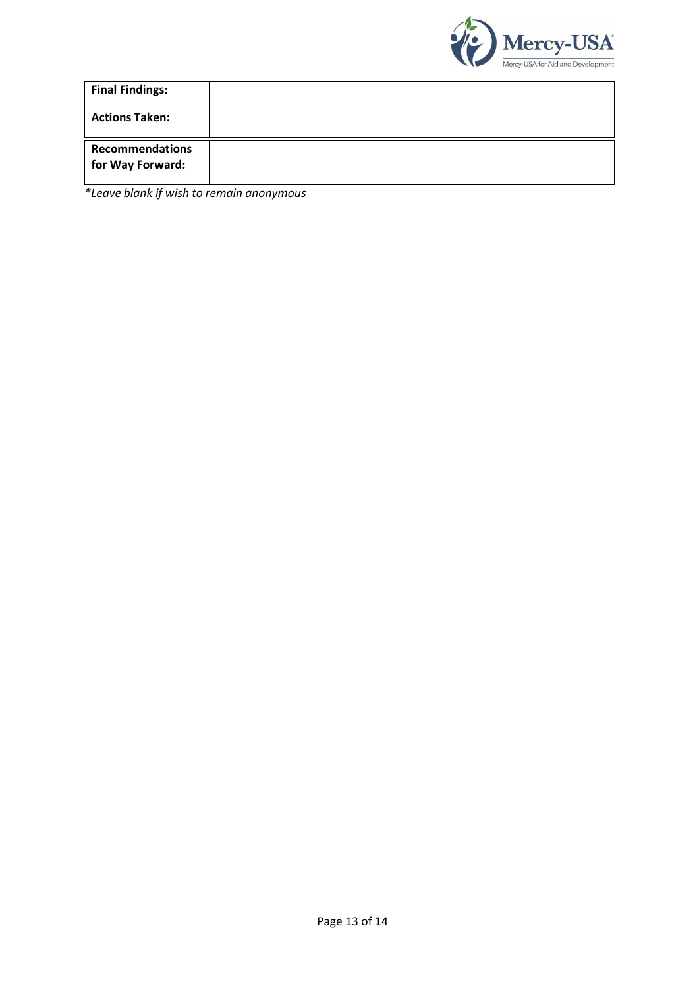

| <b>Final Findings:</b>                     |  |
|--------------------------------------------|--|
| <b>Actions Taken:</b>                      |  |
| <b>Recommendations</b><br>for Way Forward: |  |

*\*Leave blank if wish to remain anonymous*